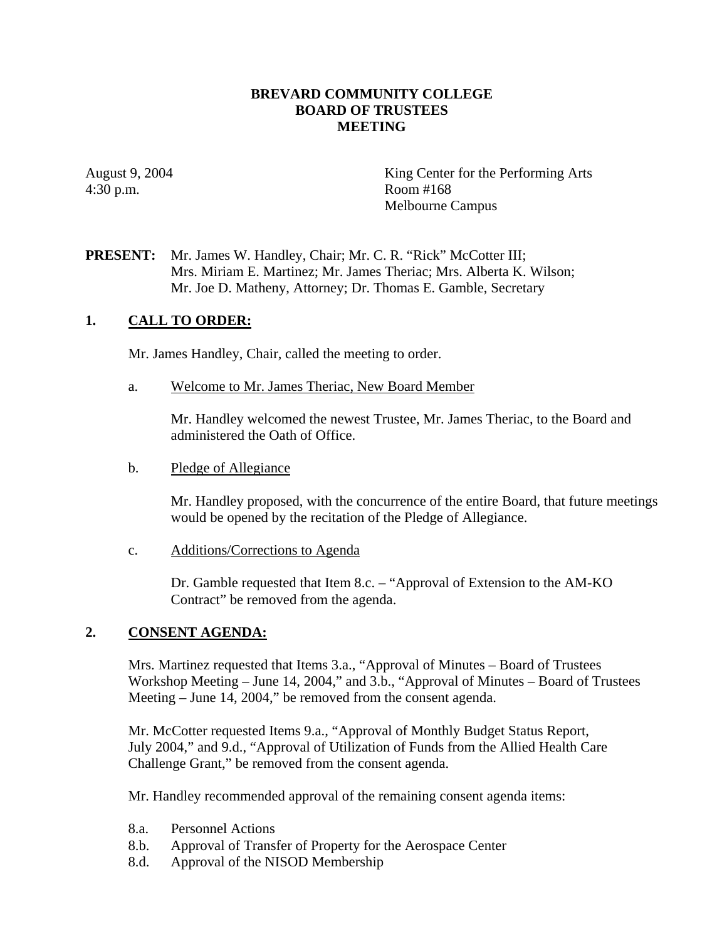## **BREVARD COMMUNITY COLLEGE BOARD OF TRUSTEES MEETING**

4:30 p.m. Room #168

August 9, 2004 King Center for the Performing Arts Melbourne Campus

## **PRESENT:** Mr. James W. Handley, Chair; Mr. C. R. "Rick" McCotter III; Mrs. Miriam E. Martinez; Mr. James Theriac; Mrs. Alberta K. Wilson; Mr. Joe D. Matheny, Attorney; Dr. Thomas E. Gamble, Secretary

## **1. CALL TO ORDER:**

Mr. James Handley, Chair, called the meeting to order.

a. Welcome to Mr. James Theriac, New Board Member

Mr. Handley welcomed the newest Trustee, Mr. James Theriac, to the Board and administered the Oath of Office.

b. Pledge of Allegiance

Mr. Handley proposed, with the concurrence of the entire Board, that future meetings would be opened by the recitation of the Pledge of Allegiance.

c. Additions/Corrections to Agenda

Dr. Gamble requested that Item 8.c. – "Approval of Extension to the AM-KO Contract" be removed from the agenda.

### **2. CONSENT AGENDA:**

Mrs. Martinez requested that Items 3.a., "Approval of Minutes – Board of Trustees Workshop Meeting – June 14, 2004," and 3.b., "Approval of Minutes – Board of Trustees Meeting – June 14, 2004," be removed from the consent agenda.

Mr. McCotter requested Items 9.a., "Approval of Monthly Budget Status Report, July 2004," and 9.d., "Approval of Utilization of Funds from the Allied Health Care Challenge Grant," be removed from the consent agenda.

Mr. Handley recommended approval of the remaining consent agenda items:

- 8.a. Personnel Actions
- 8.b. Approval of Transfer of Property for the Aerospace Center
- 8.d. Approval of the NISOD Membership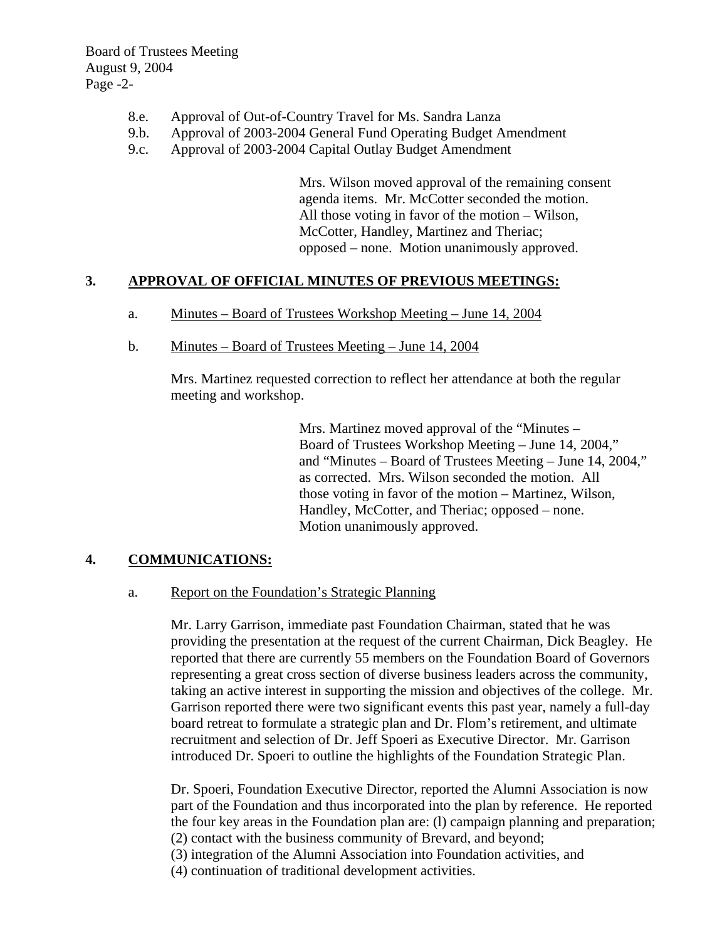Board of Trustees Meeting August 9, 2004 Page -2-

- 8.e. Approval of Out-of-Country Travel for Ms. Sandra Lanza
- 9.b. Approval of 2003-2004 General Fund Operating Budget Amendment
- 9.c. Approval of 2003-2004 Capital Outlay Budget Amendment

Mrs. Wilson moved approval of the remaining consent agenda items. Mr. McCotter seconded the motion. All those voting in favor of the motion – Wilson, McCotter, Handley, Martinez and Theriac; opposed – none. Motion unanimously approved.

## **3. APPROVAL OF OFFICIAL MINUTES OF PREVIOUS MEETINGS:**

- a. Minutes Board of Trustees Workshop Meeting June 14, 2004
- b. Minutes Board of Trustees Meeting June 14, 2004

Mrs. Martinez requested correction to reflect her attendance at both the regular meeting and workshop.

> Mrs. Martinez moved approval of the "Minutes – Board of Trustees Workshop Meeting – June 14, 2004," and "Minutes – Board of Trustees Meeting – June 14, 2004," as corrected. Mrs. Wilson seconded the motion. All those voting in favor of the motion – Martinez, Wilson, Handley, McCotter, and Theriac; opposed – none. Motion unanimously approved.

### **4. COMMUNICATIONS:**

### a. Report on the Foundation's Strategic Planning

Mr. Larry Garrison, immediate past Foundation Chairman, stated that he was providing the presentation at the request of the current Chairman, Dick Beagley. He reported that there are currently 55 members on the Foundation Board of Governors representing a great cross section of diverse business leaders across the community, taking an active interest in supporting the mission and objectives of the college. Mr. Garrison reported there were two significant events this past year, namely a full-day board retreat to formulate a strategic plan and Dr. Flom's retirement, and ultimate recruitment and selection of Dr. Jeff Spoeri as Executive Director. Mr. Garrison introduced Dr. Spoeri to outline the highlights of the Foundation Strategic Plan.

Dr. Spoeri, Foundation Executive Director, reported the Alumni Association is now part of the Foundation and thus incorporated into the plan by reference. He reported the four key areas in the Foundation plan are: (l) campaign planning and preparation; (2) contact with the business community of Brevard, and beyond;

(3) integration of the Alumni Association into Foundation activities, and

(4) continuation of traditional development activities.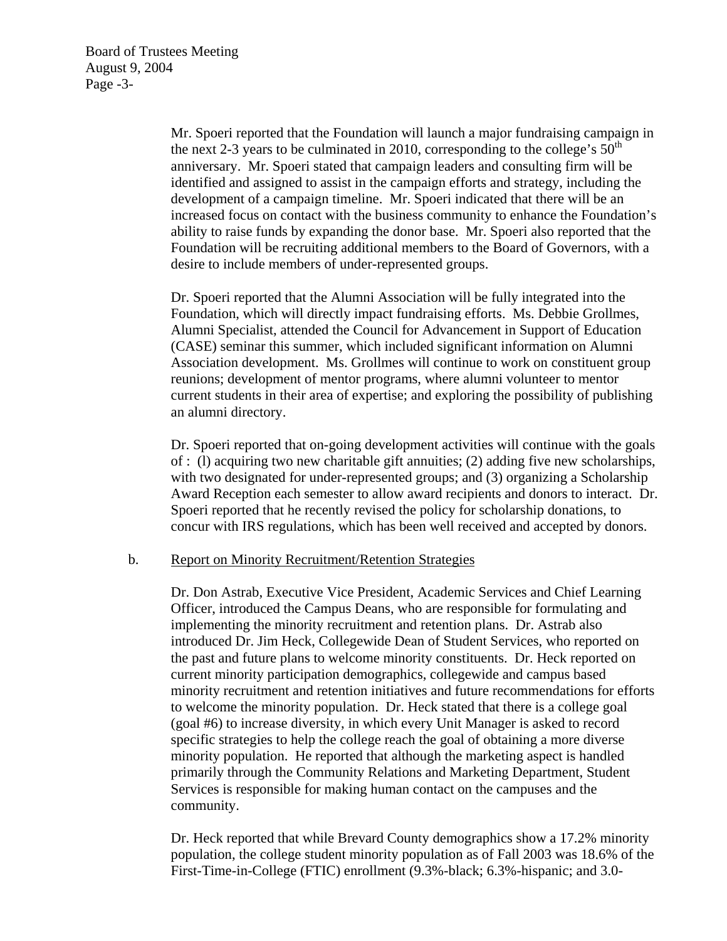Mr. Spoeri reported that the Foundation will launch a major fundraising campaign in the next 2-3 years to be culminated in 2010, corresponding to the college's  $50<sup>th</sup>$ anniversary. Mr. Spoeri stated that campaign leaders and consulting firm will be identified and assigned to assist in the campaign efforts and strategy, including the development of a campaign timeline. Mr. Spoeri indicated that there will be an increased focus on contact with the business community to enhance the Foundation's ability to raise funds by expanding the donor base. Mr. Spoeri also reported that the Foundation will be recruiting additional members to the Board of Governors, with a desire to include members of under-represented groups.

Dr. Spoeri reported that the Alumni Association will be fully integrated into the Foundation, which will directly impact fundraising efforts. Ms. Debbie Grollmes, Alumni Specialist, attended the Council for Advancement in Support of Education (CASE) seminar this summer, which included significant information on Alumni Association development. Ms. Grollmes will continue to work on constituent group reunions; development of mentor programs, where alumni volunteer to mentor current students in their area of expertise; and exploring the possibility of publishing an alumni directory.

Dr. Spoeri reported that on-going development activities will continue with the goals of : (l) acquiring two new charitable gift annuities; (2) adding five new scholarships, with two designated for under-represented groups; and (3) organizing a Scholarship Award Reception each semester to allow award recipients and donors to interact. Dr. Spoeri reported that he recently revised the policy for scholarship donations, to concur with IRS regulations, which has been well received and accepted by donors.

#### b. Report on Minority Recruitment/Retention Strategies

Dr. Don Astrab, Executive Vice President, Academic Services and Chief Learning Officer, introduced the Campus Deans, who are responsible for formulating and implementing the minority recruitment and retention plans. Dr. Astrab also introduced Dr. Jim Heck, Collegewide Dean of Student Services, who reported on the past and future plans to welcome minority constituents. Dr. Heck reported on current minority participation demographics, collegewide and campus based minority recruitment and retention initiatives and future recommendations for efforts to welcome the minority population. Dr. Heck stated that there is a college goal (goal #6) to increase diversity, in which every Unit Manager is asked to record specific strategies to help the college reach the goal of obtaining a more diverse minority population. He reported that although the marketing aspect is handled primarily through the Community Relations and Marketing Department, Student Services is responsible for making human contact on the campuses and the community.

Dr. Heck reported that while Brevard County demographics show a 17.2% minority population, the college student minority population as of Fall 2003 was 18.6% of the First-Time-in-College (FTIC) enrollment (9.3%-black; 6.3%-hispanic; and 3.0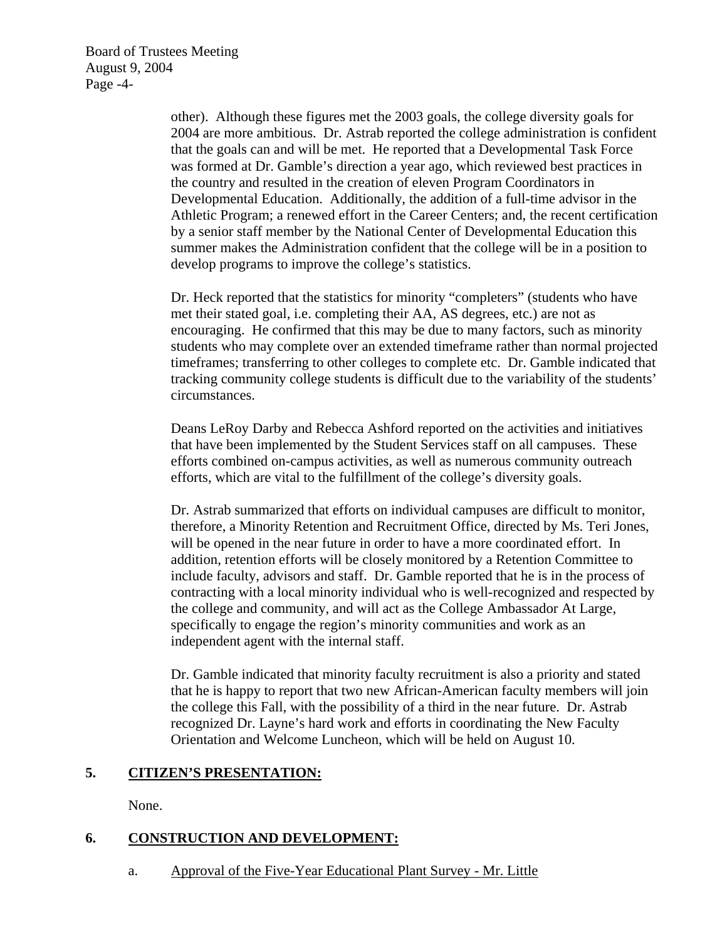Board of Trustees Meeting August 9, 2004 Page -4-

> other). Although these figures met the 2003 goals, the college diversity goals for 2004 are more ambitious. Dr. Astrab reported the college administration is confident that the goals can and will be met. He reported that a Developmental Task Force was formed at Dr. Gamble's direction a year ago, which reviewed best practices in the country and resulted in the creation of eleven Program Coordinators in Developmental Education. Additionally, the addition of a full-time advisor in the Athletic Program; a renewed effort in the Career Centers; and, the recent certification by a senior staff member by the National Center of Developmental Education this summer makes the Administration confident that the college will be in a position to develop programs to improve the college's statistics.

> Dr. Heck reported that the statistics for minority "completers" (students who have met their stated goal, i.e. completing their AA, AS degrees, etc.) are not as encouraging. He confirmed that this may be due to many factors, such as minority students who may complete over an extended timeframe rather than normal projected timeframes; transferring to other colleges to complete etc. Dr. Gamble indicated that tracking community college students is difficult due to the variability of the students' circumstances.

Deans LeRoy Darby and Rebecca Ashford reported on the activities and initiatives that have been implemented by the Student Services staff on all campuses. These efforts combined on-campus activities, as well as numerous community outreach efforts, which are vital to the fulfillment of the college's diversity goals.

Dr. Astrab summarized that efforts on individual campuses are difficult to monitor, therefore, a Minority Retention and Recruitment Office, directed by Ms. Teri Jones, will be opened in the near future in order to have a more coordinated effort. In addition, retention efforts will be closely monitored by a Retention Committee to include faculty, advisors and staff. Dr. Gamble reported that he is in the process of contracting with a local minority individual who is well-recognized and respected by the college and community, and will act as the College Ambassador At Large, specifically to engage the region's minority communities and work as an independent agent with the internal staff.

Dr. Gamble indicated that minority faculty recruitment is also a priority and stated that he is happy to report that two new African-American faculty members will join the college this Fall, with the possibility of a third in the near future. Dr. Astrab recognized Dr. Layne's hard work and efforts in coordinating the New Faculty Orientation and Welcome Luncheon, which will be held on August 10.

## **5. CITIZEN'S PRESENTATION:**

None.

## **6. CONSTRUCTION AND DEVELOPMENT:**

a. Approval of the Five-Year Educational Plant Survey - Mr. Little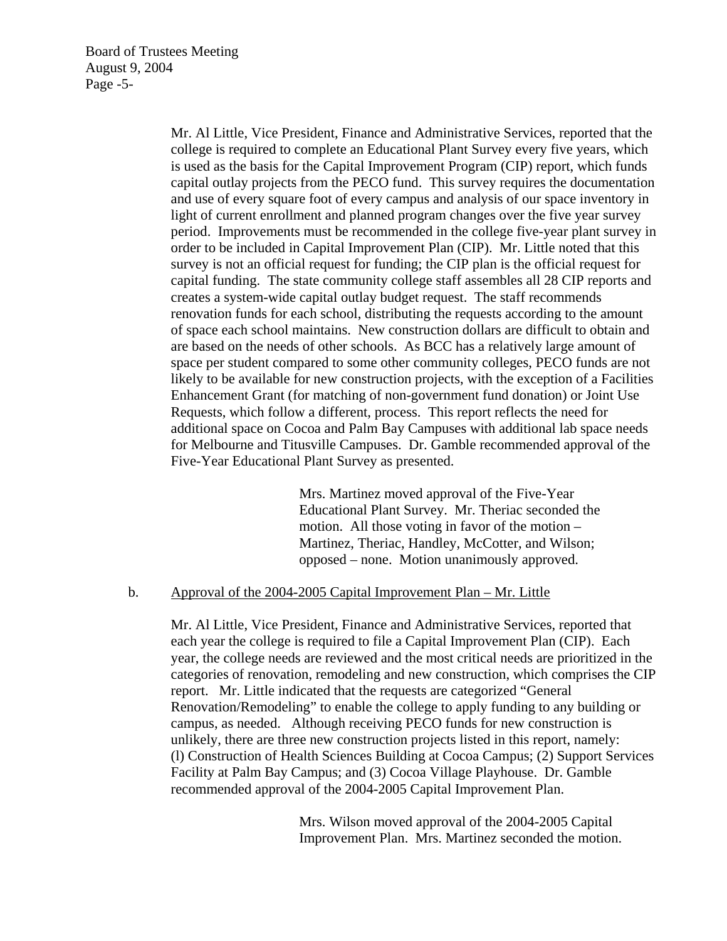Mr. Al Little, Vice President, Finance and Administrative Services, reported that the college is required to complete an Educational Plant Survey every five years, which is used as the basis for the Capital Improvement Program (CIP) report, which funds capital outlay projects from the PECO fund. This survey requires the documentation and use of every square foot of every campus and analysis of our space inventory in light of current enrollment and planned program changes over the five year survey period. Improvements must be recommended in the college five-year plant survey in order to be included in Capital Improvement Plan (CIP). Mr. Little noted that this survey is not an official request for funding; the CIP plan is the official request for capital funding. The state community college staff assembles all 28 CIP reports and creates a system-wide capital outlay budget request. The staff recommends renovation funds for each school, distributing the requests according to the amount of space each school maintains. New construction dollars are difficult to obtain and are based on the needs of other schools. As BCC has a relatively large amount of space per student compared to some other community colleges, PECO funds are not likely to be available for new construction projects, with the exception of a Facilities Enhancement Grant (for matching of non-government fund donation) or Joint Use Requests, which follow a different, process. This report reflects the need for additional space on Cocoa and Palm Bay Campuses with additional lab space needs for Melbourne and Titusville Campuses. Dr. Gamble recommended approval of the Five-Year Educational Plant Survey as presented.

> Mrs. Martinez moved approval of the Five-Year Educational Plant Survey. Mr. Theriac seconded the motion. All those voting in favor of the motion – Martinez, Theriac, Handley, McCotter, and Wilson; opposed – none. Motion unanimously approved.

#### b. Approval of the 2004-2005 Capital Improvement Plan – Mr. Little

Mr. Al Little, Vice President, Finance and Administrative Services, reported that each year the college is required to file a Capital Improvement Plan (CIP). Each year, the college needs are reviewed and the most critical needs are prioritized in the categories of renovation, remodeling and new construction, which comprises the CIP report. Mr. Little indicated that the requests are categorized "General Renovation/Remodeling" to enable the college to apply funding to any building or campus, as needed. Although receiving PECO funds for new construction is unlikely, there are three new construction projects listed in this report, namely: (l) Construction of Health Sciences Building at Cocoa Campus; (2) Support Services Facility at Palm Bay Campus; and (3) Cocoa Village Playhouse. Dr. Gamble recommended approval of the 2004-2005 Capital Improvement Plan.

> Mrs. Wilson moved approval of the 2004-2005 Capital Improvement Plan. Mrs. Martinez seconded the motion.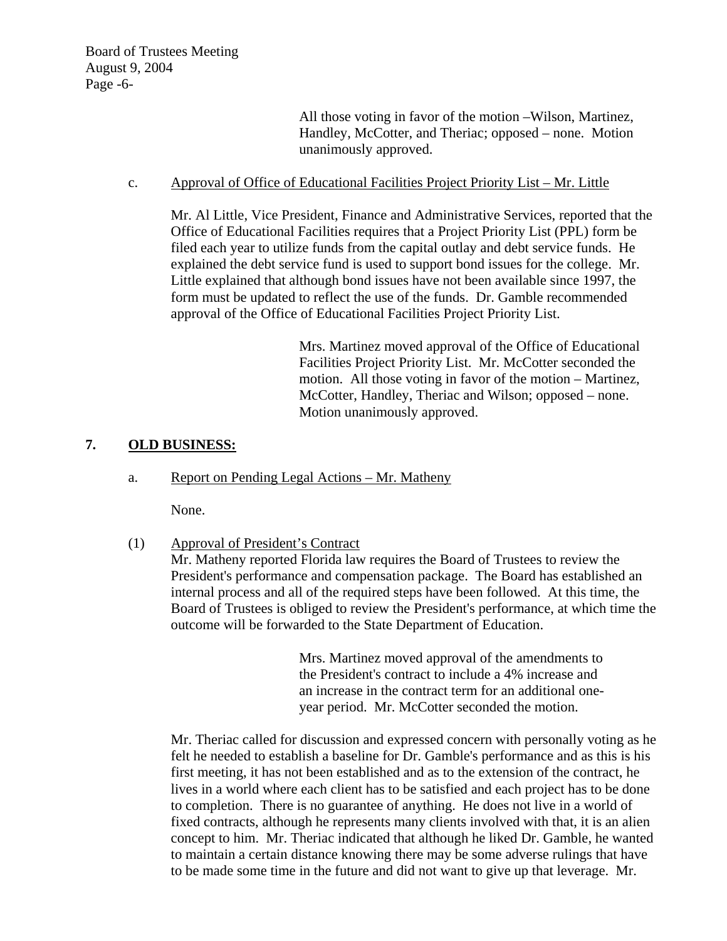All those voting in favor of the motion –Wilson, Martinez, Handley, McCotter, and Theriac; opposed – none. Motion unanimously approved.

c. Approval of Office of Educational Facilities Project Priority List – Mr. Little

Mr. Al Little, Vice President, Finance and Administrative Services, reported that the Office of Educational Facilities requires that a Project Priority List (PPL) form be filed each year to utilize funds from the capital outlay and debt service funds. He explained the debt service fund is used to support bond issues for the college. Mr. Little explained that although bond issues have not been available since 1997, the form must be updated to reflect the use of the funds. Dr. Gamble recommended approval of the Office of Educational Facilities Project Priority List.

> Mrs. Martinez moved approval of the Office of Educational Facilities Project Priority List. Mr. McCotter seconded the motion. All those voting in favor of the motion – Martinez, McCotter, Handley, Theriac and Wilson; opposed – none. Motion unanimously approved.

# **7. OLD BUSINESS:**

a. Report on Pending Legal Actions – Mr. Matheny

None.

(1) Approval of President's Contract

Mr. Matheny reported Florida law requires the Board of Trustees to review the President's performance and compensation package. The Board has established an internal process and all of the required steps have been followed. At this time, the Board of Trustees is obliged to review the President's performance, at which time the outcome will be forwarded to the State Department of Education.

> Mrs. Martinez moved approval of the amendments to the President's contract to include a 4% increase and an increase in the contract term for an additional one year period. Mr. McCotter seconded the motion.

Mr. Theriac called for discussion and expressed concern with personally voting as he felt he needed to establish a baseline for Dr. Gamble's performance and as this is his first meeting, it has not been established and as to the extension of the contract, he lives in a world where each client has to be satisfied and each project has to be done to completion. There is no guarantee of anything. He does not live in a world of fixed contracts, although he represents many clients involved with that, it is an alien concept to him. Mr. Theriac indicated that although he liked Dr. Gamble, he wanted to maintain a certain distance knowing there may be some adverse rulings that have to be made some time in the future and did not want to give up that leverage. Mr.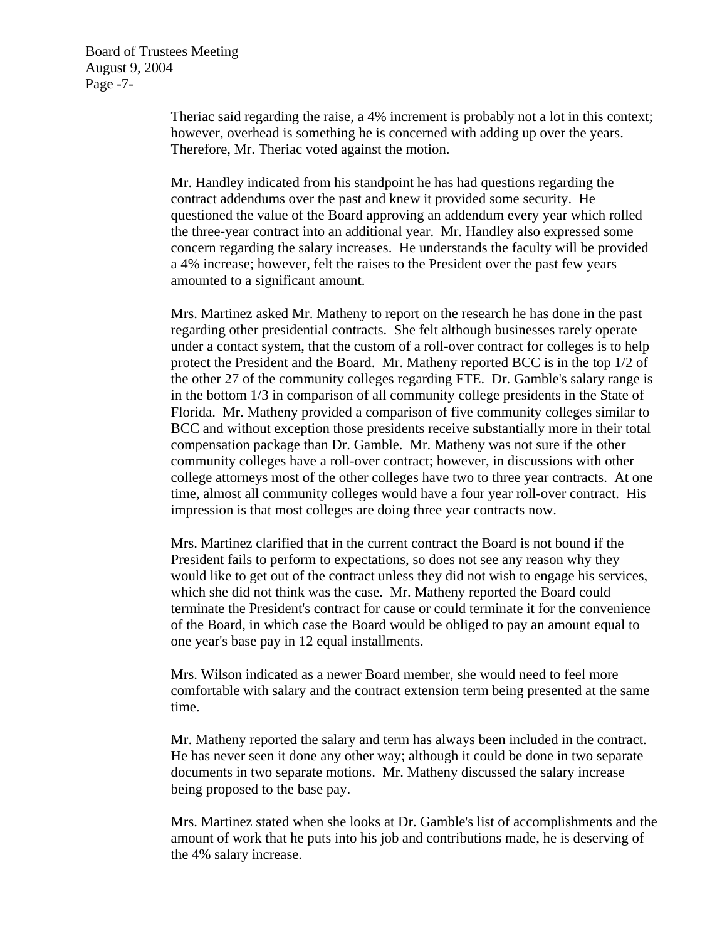Board of Trustees Meeting August 9, 2004 Page -7-

> Theriac said regarding the raise, a 4% increment is probably not a lot in this context; however, overhead is something he is concerned with adding up over the years. Therefore, Mr. Theriac voted against the motion.

> Mr. Handley indicated from his standpoint he has had questions regarding the contract addendums over the past and knew it provided some security. He questioned the value of the Board approving an addendum every year which rolled the three-year contract into an additional year. Mr. Handley also expressed some concern regarding the salary increases. He understands the faculty will be provided a 4% increase; however, felt the raises to the President over the past few years amounted to a significant amount.

> Mrs. Martinez asked Mr. Matheny to report on the research he has done in the past regarding other presidential contracts. She felt although businesses rarely operate under a contact system, that the custom of a roll-over contract for colleges is to help protect the President and the Board. Mr. Matheny reported BCC is in the top 1/2 of the other 27 of the community colleges regarding FTE. Dr. Gamble's salary range is in the bottom 1/3 in comparison of all community college presidents in the State of Florida. Mr. Matheny provided a comparison of five community colleges similar to BCC and without exception those presidents receive substantially more in their total compensation package than Dr. Gamble. Mr. Matheny was not sure if the other community colleges have a roll-over contract; however, in discussions with other college attorneys most of the other colleges have two to three year contracts. At one time, almost all community colleges would have a four year roll-over contract. His impression is that most colleges are doing three year contracts now.

> Mrs. Martinez clarified that in the current contract the Board is not bound if the President fails to perform to expectations, so does not see any reason why they would like to get out of the contract unless they did not wish to engage his services, which she did not think was the case. Mr. Matheny reported the Board could terminate the President's contract for cause or could terminate it for the convenience of the Board, in which case the Board would be obliged to pay an amount equal to one year's base pay in 12 equal installments.

> Mrs. Wilson indicated as a newer Board member, she would need to feel more comfortable with salary and the contract extension term being presented at the same time.

> Mr. Matheny reported the salary and term has always been included in the contract. He has never seen it done any other way; although it could be done in two separate documents in two separate motions. Mr. Matheny discussed the salary increase being proposed to the base pay.

Mrs. Martinez stated when she looks at Dr. Gamble's list of accomplishments and the amount of work that he puts into his job and contributions made, he is deserving of the 4% salary increase.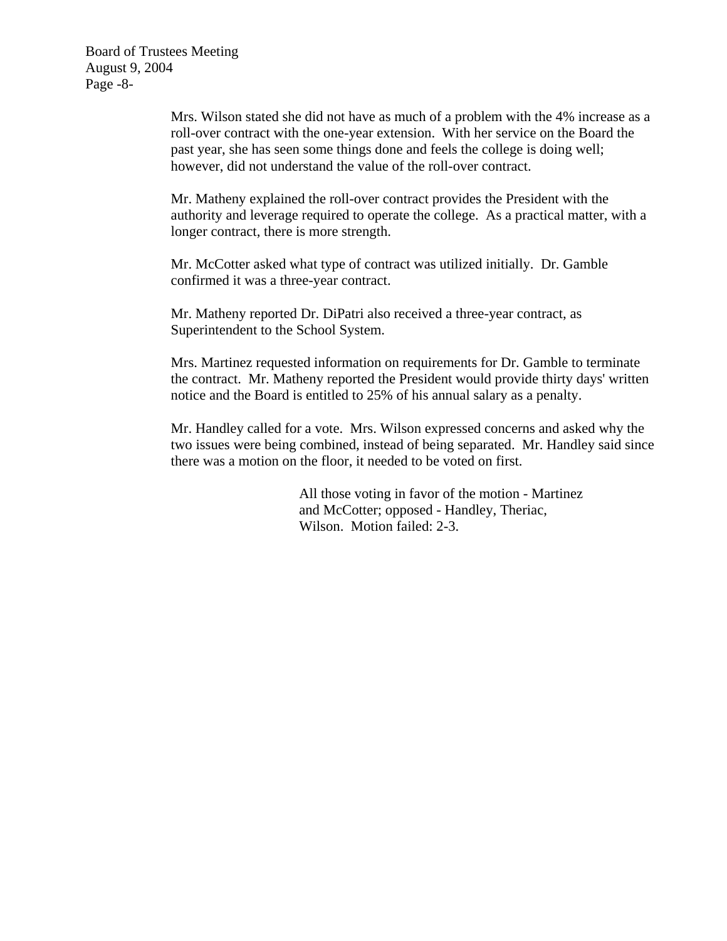Mrs. Wilson stated she did not have as much of a problem with the 4% increase as a roll-over contract with the one-year extension. With her service on the Board the past year, she has seen some things done and feels the college is doing well; however, did not understand the value of the roll-over contract.

Mr. Matheny explained the roll-over contract provides the President with the authority and leverage required to operate the college. As a practical matter, with a longer contract, there is more strength.

Mr. McCotter asked what type of contract was utilized initially. Dr. Gamble confirmed it was a three-year contract.

Mr. Matheny reported Dr. DiPatri also received a three-year contract, as Superintendent to the School System.

Mrs. Martinez requested information on requirements for Dr. Gamble to terminate the contract. Mr. Matheny reported the President would provide thirty days' written notice and the Board is entitled to 25% of his annual salary as a penalty.

Mr. Handley called for a vote. Mrs. Wilson expressed concerns and asked why the two issues were being combined, instead of being separated. Mr. Handley said since there was a motion on the floor, it needed to be voted on first.

> All those voting in favor of the motion - Martinez and McCotter; opposed - Handley, Theriac, Wilson. Motion failed: 2-3.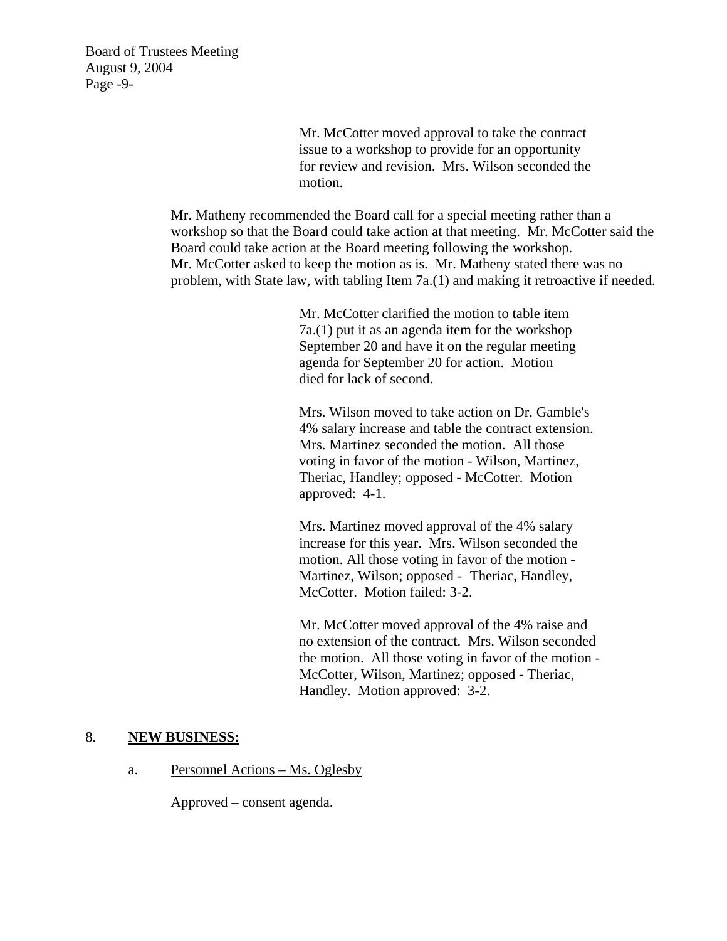Board of Trustees Meeting August 9, 2004 Page -9-

> Mr. McCotter moved approval to take the contract issue to a workshop to provide for an opportunity for review and revision. Mrs. Wilson seconded the motion.

Mr. Matheny recommended the Board call for a special meeting rather than a workshop so that the Board could take action at that meeting. Mr. McCotter said the Board could take action at the Board meeting following the workshop. Mr. McCotter asked to keep the motion as is. Mr. Matheny stated there was no problem, with State law, with tabling Item 7a.(1) and making it retroactive if needed.

> Mr. McCotter clarified the motion to table item 7a.(1) put it as an agenda item for the workshop September 20 and have it on the regular meeting agenda for September 20 for action. Motion died for lack of second.

 Mrs. Wilson moved to take action on Dr. Gamble's 4% salary increase and table the contract extension. Mrs. Martinez seconded the motion. All those voting in favor of the motion - Wilson, Martinez, Theriac, Handley; opposed - McCotter. Motion approved: 4-1.

 Mrs. Martinez moved approval of the 4% salary increase for this year. Mrs. Wilson seconded the motion. All those voting in favor of the motion - Martinez, Wilson; opposed - Theriac, Handley, McCotter. Motion failed: 3-2.

 Mr. McCotter moved approval of the 4% raise and no extension of the contract. Mrs. Wilson seconded the motion. All those voting in favor of the motion - McCotter, Wilson, Martinez; opposed - Theriac, Handley. Motion approved: 3-2.

#### 8. **NEW BUSINESS:**

a. Personnel Actions – Ms. Oglesby

Approved – consent agenda.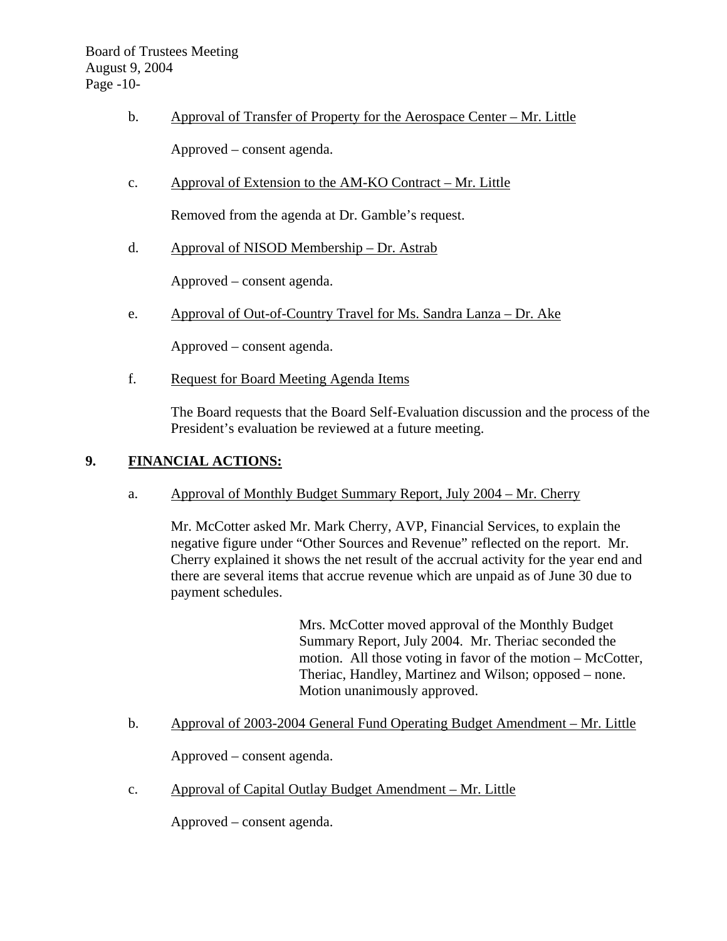- b. Approval of Transfer of Property for the Aerospace Center Mr. Little Approved – consent agenda.
- c. Approval of Extension to the AM-KO Contract Mr. Little

Removed from the agenda at Dr. Gamble's request.

d. Approval of NISOD Membership – Dr. Astrab

Approved – consent agenda.

e. Approval of Out-of-Country Travel for Ms. Sandra Lanza – Dr. Ake

Approved – consent agenda.

f. Request for Board Meeting Agenda Items

The Board requests that the Board Self-Evaluation discussion and the process of the President's evaluation be reviewed at a future meeting.

### **9. FINANCIAL ACTIONS:**

a. Approval of Monthly Budget Summary Report, July 2004 – Mr. Cherry

 Mr. McCotter asked Mr. Mark Cherry, AVP, Financial Services, to explain the negative figure under "Other Sources and Revenue" reflected on the report. Mr. Cherry explained it shows the net result of the accrual activity for the year end and there are several items that accrue revenue which are unpaid as of June 30 due to payment schedules.

> Mrs. McCotter moved approval of the Monthly Budget Summary Report, July 2004. Mr. Theriac seconded the motion. All those voting in favor of the motion – McCotter, Theriac, Handley, Martinez and Wilson; opposed – none. Motion unanimously approved.

b. Approval of 2003-2004 General Fund Operating Budget Amendment – Mr. Little

Approved – consent agenda.

c. Approval of Capital Outlay Budget Amendment – Mr. Little

Approved – consent agenda.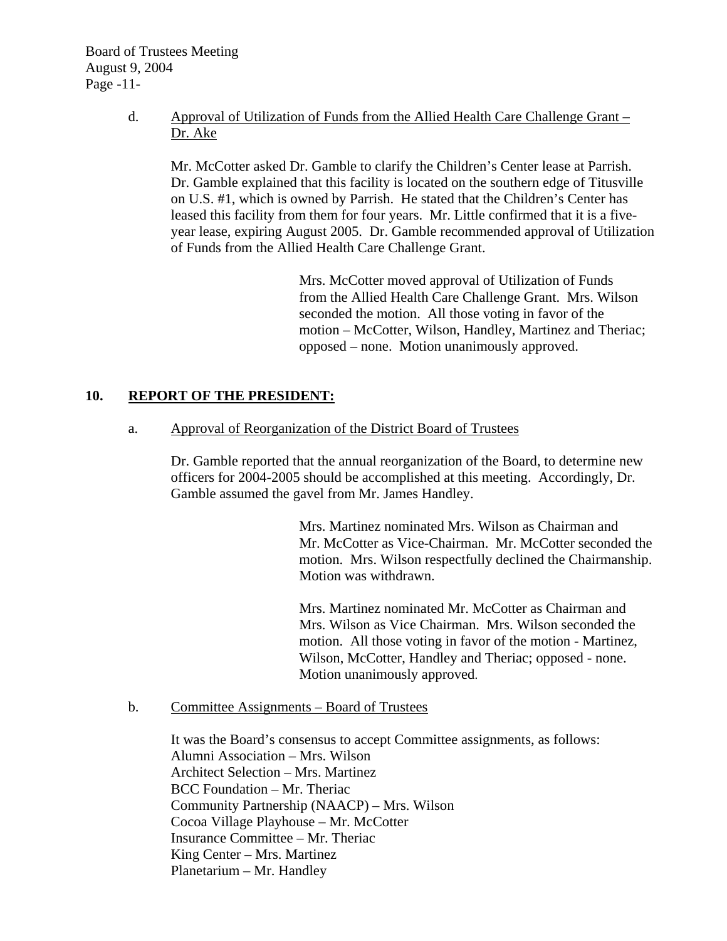Board of Trustees Meeting August 9, 2004 Page -11-

## d. Approval of Utilization of Funds from the Allied Health Care Challenge Grant – Dr. Ake

Mr. McCotter asked Dr. Gamble to clarify the Children's Center lease at Parrish. Dr. Gamble explained that this facility is located on the southern edge of Titusville on U.S. #1, which is owned by Parrish. He stated that the Children's Center has leased this facility from them for four years. Mr. Little confirmed that it is a fiveyear lease, expiring August 2005. Dr. Gamble recommended approval of Utilization of Funds from the Allied Health Care Challenge Grant.

> Mrs. McCotter moved approval of Utilization of Funds from the Allied Health Care Challenge Grant. Mrs. Wilson seconded the motion. All those voting in favor of the motion – McCotter, Wilson, Handley, Martinez and Theriac; opposed – none. Motion unanimously approved.

# **10. REPORT OF THE PRESIDENT:**

a. Approval of Reorganization of the District Board of Trustees

Dr. Gamble reported that the annual reorganization of the Board, to determine new officers for 2004-2005 should be accomplished at this meeting. Accordingly, Dr. Gamble assumed the gavel from Mr. James Handley.

> Mrs. Martinez nominated Mrs. Wilson as Chairman and Mr. McCotter as Vice-Chairman. Mr. McCotter seconded the motion. Mrs. Wilson respectfully declined the Chairmanship. Motion was withdrawn.

Mrs. Martinez nominated Mr. McCotter as Chairman and Mrs. Wilson as Vice Chairman. Mrs. Wilson seconded the motion. All those voting in favor of the motion - Martinez, Wilson, McCotter, Handley and Theriac; opposed - none. Motion unanimously approved.

b. Committee Assignments – Board of Trustees

It was the Board's consensus to accept Committee assignments, as follows: Alumni Association – Mrs. Wilson Architect Selection – Mrs. Martinez BCC Foundation – Mr. Theriac Community Partnership (NAACP) – Mrs. Wilson Cocoa Village Playhouse – Mr. McCotter Insurance Committee – Mr. Theriac King Center – Mrs. Martinez Planetarium – Mr. Handley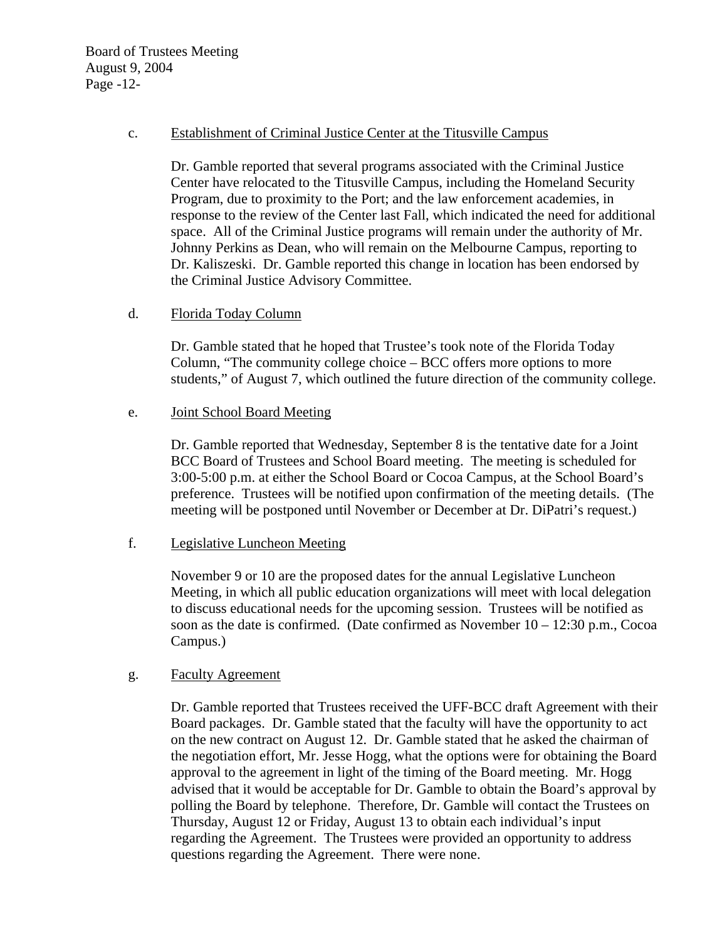Board of Trustees Meeting August 9, 2004 Page -12-

### c. Establishment of Criminal Justice Center at the Titusville Campus

Dr. Gamble reported that several programs associated with the Criminal Justice Center have relocated to the Titusville Campus, including the Homeland Security Program, due to proximity to the Port; and the law enforcement academies, in response to the review of the Center last Fall, which indicated the need for additional space. All of the Criminal Justice programs will remain under the authority of Mr. Johnny Perkins as Dean, who will remain on the Melbourne Campus, reporting to Dr. Kaliszeski. Dr. Gamble reported this change in location has been endorsed by the Criminal Justice Advisory Committee.

### d. Florida Today Column

Dr. Gamble stated that he hoped that Trustee's took note of the Florida Today Column, "The community college choice – BCC offers more options to more students," of August 7, which outlined the future direction of the community college.

### e. Joint School Board Meeting

Dr. Gamble reported that Wednesday, September 8 is the tentative date for a Joint BCC Board of Trustees and School Board meeting. The meeting is scheduled for 3:00-5:00 p.m. at either the School Board or Cocoa Campus, at the School Board's preference. Trustees will be notified upon confirmation of the meeting details. (The meeting will be postponed until November or December at Dr. DiPatri's request.)

### f. Legislative Luncheon Meeting

November 9 or 10 are the proposed dates for the annual Legislative Luncheon Meeting, in which all public education organizations will meet with local delegation to discuss educational needs for the upcoming session. Trustees will be notified as soon as the date is confirmed. (Date confirmed as November  $10 - 12:30$  p.m., Cocoa Campus.)

### g. Faculty Agreement

Dr. Gamble reported that Trustees received the UFF-BCC draft Agreement with their Board packages. Dr. Gamble stated that the faculty will have the opportunity to act on the new contract on August 12. Dr. Gamble stated that he asked the chairman of the negotiation effort, Mr. Jesse Hogg, what the options were for obtaining the Board approval to the agreement in light of the timing of the Board meeting. Mr. Hogg advised that it would be acceptable for Dr. Gamble to obtain the Board's approval by polling the Board by telephone. Therefore, Dr. Gamble will contact the Trustees on Thursday, August 12 or Friday, August 13 to obtain each individual's input regarding the Agreement. The Trustees were provided an opportunity to address questions regarding the Agreement. There were none.